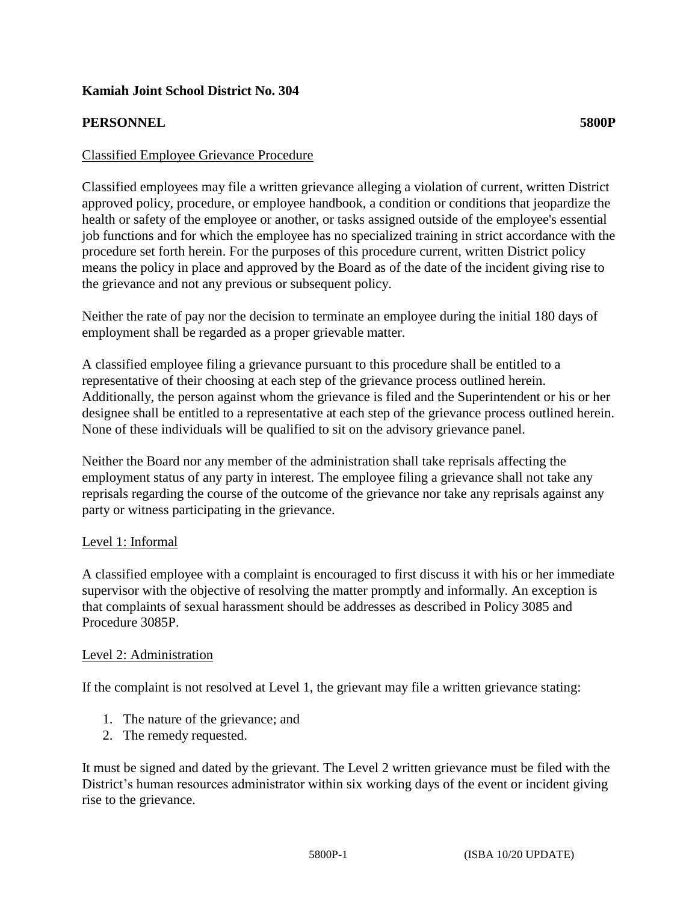# **Kamiah Joint School District No. 304**

### **PERSONNEL 5800P**

### Classified Employee Grievance Procedure

Classified employees may file a written grievance alleging a violation of current, written District approved policy, procedure, or employee handbook, a condition or conditions that jeopardize the health or safety of the employee or another, or tasks assigned outside of the employee's essential job functions and for which the employee has no specialized training in strict accordance with the procedure set forth herein. For the purposes of this procedure current, written District policy means the policy in place and approved by the Board as of the date of the incident giving rise to the grievance and not any previous or subsequent policy.

Neither the rate of pay nor the decision to terminate an employee during the initial 180 days of employment shall be regarded as a proper grievable matter.

A classified employee filing a grievance pursuant to this procedure shall be entitled to a representative of their choosing at each step of the grievance process outlined herein. Additionally, the person against whom the grievance is filed and the Superintendent or his or her designee shall be entitled to a representative at each step of the grievance process outlined herein. None of these individuals will be qualified to sit on the advisory grievance panel.

Neither the Board nor any member of the administration shall take reprisals affecting the employment status of any party in interest. The employee filing a grievance shall not take any reprisals regarding the course of the outcome of the grievance nor take any reprisals against any party or witness participating in the grievance.

#### Level 1: Informal

A classified employee with a complaint is encouraged to first discuss it with his or her immediate supervisor with the objective of resolving the matter promptly and informally. An exception is that complaints of sexual harassment should be addresses as described in Policy 3085 and Procedure 3085P.

#### Level 2: Administration

If the complaint is not resolved at Level 1, the grievant may file a written grievance stating:

- 1. The nature of the grievance; and
- 2. The remedy requested.

It must be signed and dated by the grievant. The Level 2 written grievance must be filed with the District's human resources administrator within six working days of the event or incident giving rise to the grievance.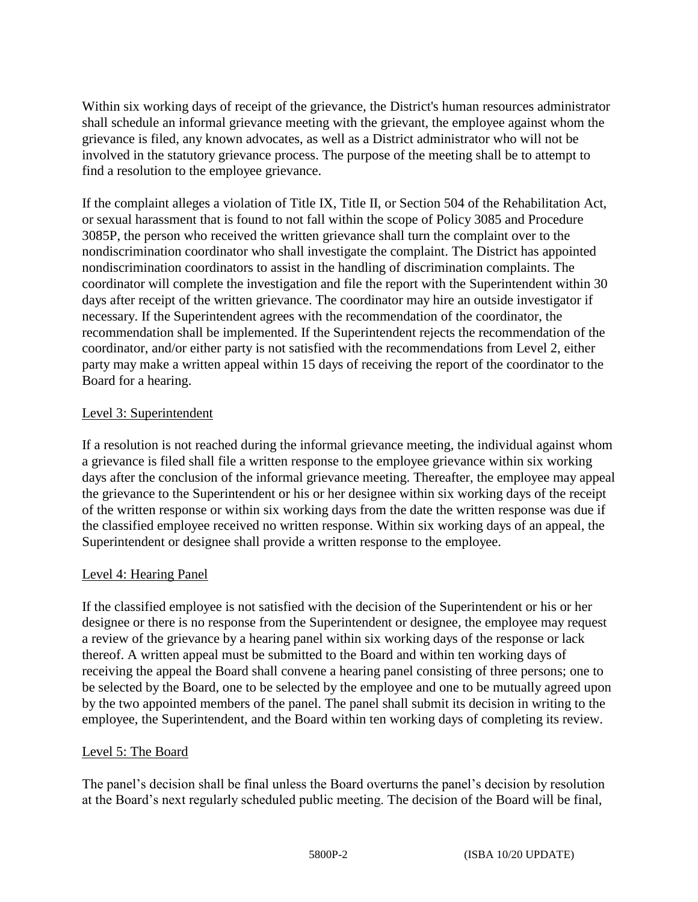Within six working days of receipt of the grievance, the District's human resources administrator shall schedule an informal grievance meeting with the grievant, the employee against whom the grievance is filed, any known advocates, as well as a District administrator who will not be involved in the statutory grievance process. The purpose of the meeting shall be to attempt to find a resolution to the employee grievance.

If the complaint alleges a violation of Title IX, Title II, or Section 504 of the Rehabilitation Act, or sexual harassment that is found to not fall within the scope of Policy 3085 and Procedure 3085P, the person who received the written grievance shall turn the complaint over to the nondiscrimination coordinator who shall investigate the complaint. The District has appointed nondiscrimination coordinators to assist in the handling of discrimination complaints. The coordinator will complete the investigation and file the report with the Superintendent within 30 days after receipt of the written grievance. The coordinator may hire an outside investigator if necessary. If the Superintendent agrees with the recommendation of the coordinator, the recommendation shall be implemented. If the Superintendent rejects the recommendation of the coordinator, and/or either party is not satisfied with the recommendations from Level 2, either party may make a written appeal within 15 days of receiving the report of the coordinator to the Board for a hearing.

# Level 3: Superintendent

If a resolution is not reached during the informal grievance meeting, the individual against whom a grievance is filed shall file a written response to the employee grievance within six working days after the conclusion of the informal grievance meeting. Thereafter, the employee may appeal the grievance to the Superintendent or his or her designee within six working days of the receipt of the written response or within six working days from the date the written response was due if the classified employee received no written response. Within six working days of an appeal, the Superintendent or designee shall provide a written response to the employee.

# Level 4: Hearing Panel

If the classified employee is not satisfied with the decision of the Superintendent or his or her designee or there is no response from the Superintendent or designee, the employee may request a review of the grievance by a hearing panel within six working days of the response or lack thereof. A written appeal must be submitted to the Board and within ten working days of receiving the appeal the Board shall convene a hearing panel consisting of three persons; one to be selected by the Board, one to be selected by the employee and one to be mutually agreed upon by the two appointed members of the panel. The panel shall submit its decision in writing to the employee, the Superintendent, and the Board within ten working days of completing its review.

#### Level 5: The Board

The panel's decision shall be final unless the Board overturns the panel's decision by resolution at the Board's next regularly scheduled public meeting. The decision of the Board will be final,